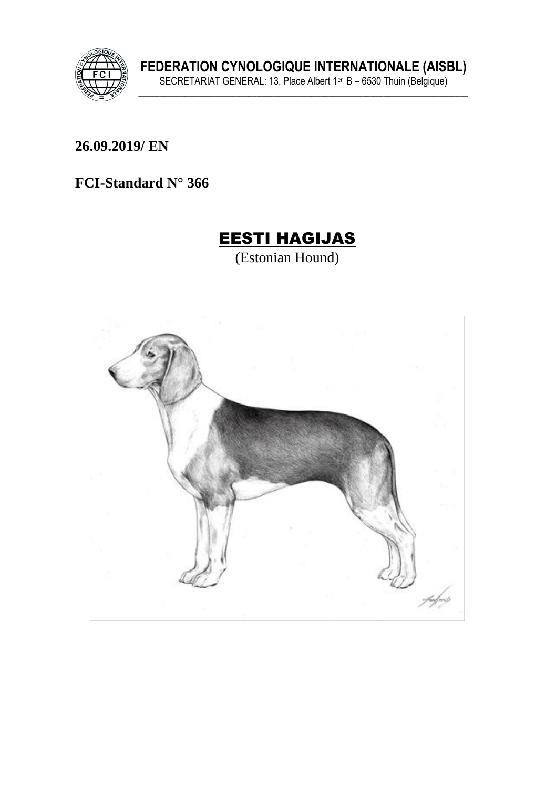

FEDERATION CYNOLOGIQUE INTERNATIONALE (AISBL)<br>SECRETARIAT GENERAL: 13, Place Albert 1<sup>er</sup> B – 6530 Thuin (Belgique)

26.09.2019/ EN

FCI-Standard N° 366

# **EESTI HAGIJAS**

(Estonian Hound)

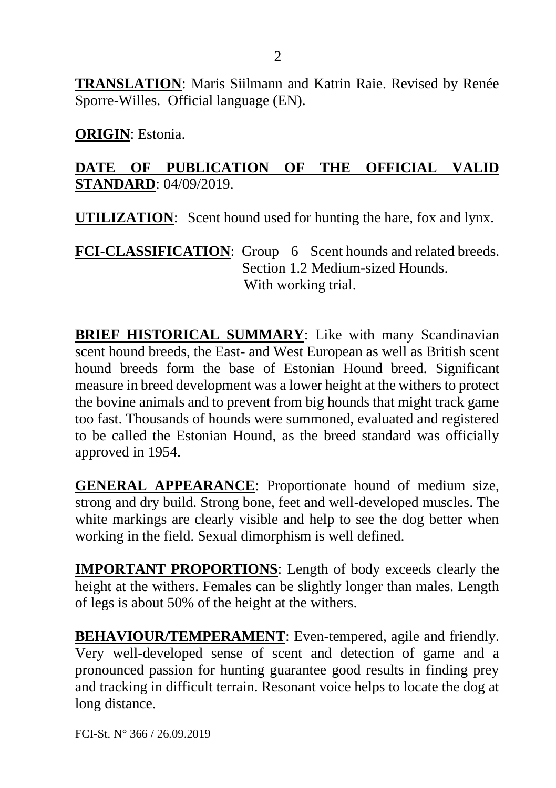**TRANSLATION**: Maris Siilmann and Katrin Raie. Revised by Renée Sporre-Willes. Official language (EN).

**ORIGIN**: Estonia.

#### **DATE OF PUBLICATION OF THE OFFICIAL VALID STANDARD**: 04/09/2019.

**UTILIZATION**: Scent hound used for hunting the hare, fox and lynx.

FCI-CLASSIFICATION: Group 6 Scent hounds and related breeds. Section 1.2 Medium-sized Hounds. With working trial.

**BRIEF HISTORICAL SUMMARY**: Like with many Scandinavian scent hound breeds, the East- and West European as well as British scent hound breeds form the base of Estonian Hound breed. Significant measure in breed development was a lower height at the withers to protect the bovine animals and to prevent from big hounds that might track game too fast. Thousands of hounds were summoned, evaluated and registered to be called the Estonian Hound, as the breed standard was officially approved in 1954.

**GENERAL APPEARANCE**: Proportionate hound of medium size, strong and dry build. Strong bone, feet and well-developed muscles. The white markings are clearly visible and help to see the dog better when working in the field. Sexual dimorphism is well defined.

**IMPORTANT PROPORTIONS**: Length of body exceeds clearly the height at the withers. Females can be slightly longer than males. Length of legs is about 50% of the height at the withers.

**BEHAVIOUR/TEMPERAMENT**: Even-tempered, agile and friendly. Very well-developed sense of scent and detection of game and a pronounced passion for hunting guarantee good results in finding prey and tracking in difficult terrain. Resonant voice helps to locate the dog at long distance.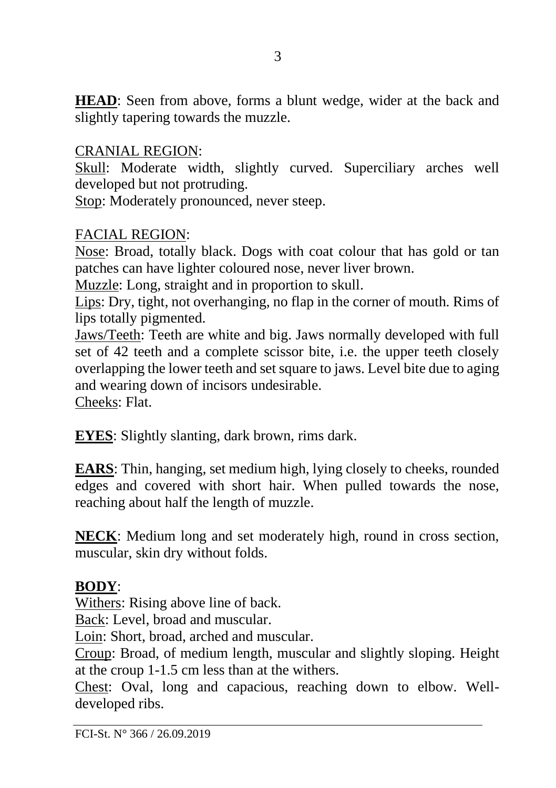**HEAD**: Seen from above, forms a blunt wedge, wider at the back and slightly tapering towards the muzzle.

#### CRANIAL REGION:

Skull: Moderate width, slightly curved. Superciliary arches well developed but not protruding.

Stop: Moderately pronounced, never steep.

#### FACIAL REGION:

Nose: Broad, totally black. Dogs with coat colour that has gold or tan patches can have lighter coloured nose, never liver brown.

Muzzle: Long, straight and in proportion to skull.

Lips: Dry, tight, not overhanging, no flap in the corner of mouth. Rims of lips totally pigmented.

Jaws/Teeth: Teeth are white and big. Jaws normally developed with full set of 42 teeth and a complete scissor bite, i.e. the upper teeth closely overlapping the lower teeth and set square to jaws. Level bite due to aging and wearing down of incisors undesirable.

Cheeks: Flat.

**EYES**: Slightly slanting, dark brown, rims dark.

**EARS**: Thin, hanging, set medium high, lying closely to cheeks, rounded edges and covered with short hair. When pulled towards the nose, reaching about half the length of muzzle.

**NECK**: Medium long and set moderately high, round in cross section, muscular, skin dry without folds.

#### **BODY**:

Withers: Rising above line of back.

Back: Level, broad and muscular.

Loin: Short, broad, arched and muscular.

Croup: Broad, of medium length, muscular and slightly sloping. Height at the croup 1-1.5 cm less than at the withers.

Chest: Oval, long and capacious, reaching down to elbow. Welldeveloped ribs.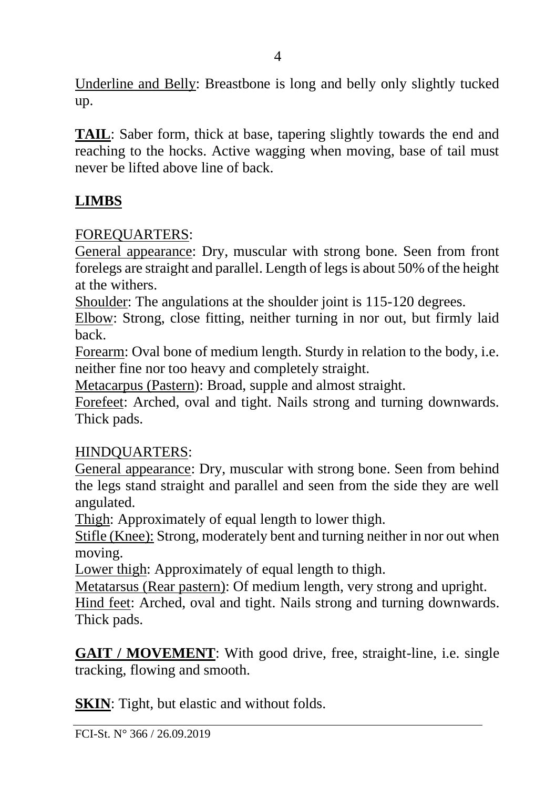Underline and Belly: Breastbone is long and belly only slightly tucked up.

**TAIL**: Saber form, thick at base, tapering slightly towards the end and reaching to the hocks. Active wagging when moving, base of tail must never be lifted above line of back.

# **LIMBS**

#### FOREQUARTERS:

General appearance: Dry, muscular with strong bone. Seen from front forelegs are straight and parallel. Length of legs is about 50% of the height at the withers.

Shoulder: The angulations at the shoulder joint is 115-120 degrees.

Elbow: Strong, close fitting, neither turning in nor out, but firmly laid back.

Forearm: Oval bone of medium length. Sturdy in relation to the body, i.e. neither fine nor too heavy and completely straight.

Metacarpus (Pastern): Broad, supple and almost straight.

Forefeet: Arched, oval and tight. Nails strong and turning downwards. Thick pads.

#### HINDQUARTERS:

General appearance: Dry, muscular with strong bone. Seen from behind the legs stand straight and parallel and seen from the side they are well angulated.

Thigh: Approximately of equal length to lower thigh.

Stifle (Knee): Strong, moderately bent and turning neither in nor out when moving.

Lower thigh: Approximately of equal length to thigh.

Metatarsus (Rear pastern): Of medium length, very strong and upright.

Hind feet: Arched, oval and tight. Nails strong and turning downwards. Thick pads.

**GAIT / MOVEMENT**: With good drive, free, straight-line, i.e. single tracking, flowing and smooth.

**SKIN**: Tight, but elastic and without folds.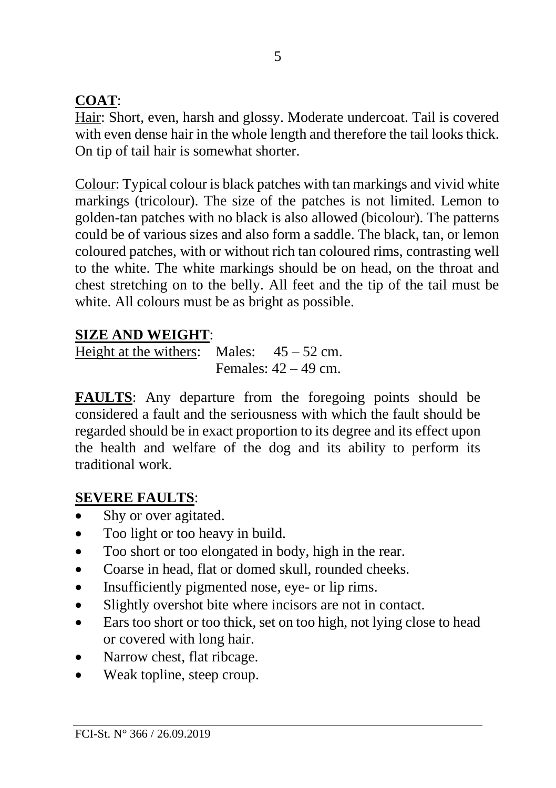# **COAT**:

Hair: Short, even, harsh and glossy. Moderate undercoat. Tail is covered with even dense hair in the whole length and therefore the tail looks thick. On tip of tail hair is somewhat shorter.

Colour: Typical colour is black patches with tan markings and vivid white markings (tricolour). The size of the patches is not limited. Lemon to golden-tan patches with no black is also allowed (bicolour). The patterns could be of various sizes and also form a saddle. The black, tan, or lemon coloured patches, with or without rich tan coloured rims, contrasting well to the white. The white markings should be on head, on the throat and chest stretching on to the belly. All feet and the tip of the tail must be white. All colours must be as bright as possible.

## **SIZE AND WEIGHT**:

Height at the withers: Males:  $45 - 52$  cm. Females:  $42 - 49$  cm.

**FAULTS**: Any departure from the foregoing points should be considered a fault and the seriousness with which the fault should be regarded should be in exact proportion to its degree and its effect upon the health and welfare of the dog and its ability to perform its traditional work.

## **SEVERE FAULTS**:

- Shy or over agitated.
- Too light or too heavy in build.
- Too short or too elongated in body, high in the rear.
- Coarse in head, flat or domed skull, rounded cheeks.
- Insufficiently pigmented nose, eye- or lip rims.
- Slightly overshot bite where incisors are not in contact.
- Ears too short or too thick, set on too high, not lying close to head or covered with long hair.
- Narrow chest, flat ribcage.
- Weak topline, steep croup.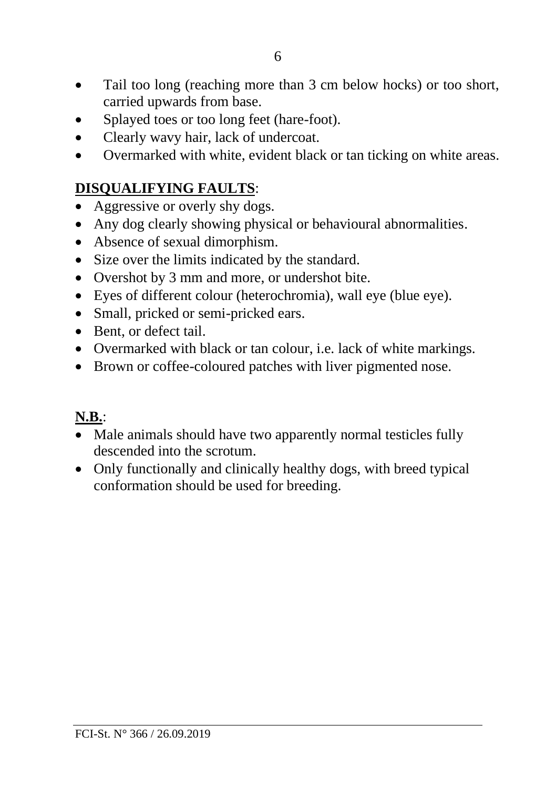- Tail too long (reaching more than 3 cm below hocks) or too short, carried upwards from base.
- Splayed toes or too long feet (hare-foot).
- Clearly wavy hair, lack of undercoat.
- Overmarked with white, evident black or tan ticking on white areas.

#### **DISQUALIFYING FAULTS**:

- Aggressive or overly shy dogs.
- Any dog clearly showing physical or behavioural abnormalities.
- Absence of sexual dimorphism.
- Size over the limits indicated by the standard.
- Overshot by 3 mm and more, or undershot bite.
- Eyes of different colour (heterochromia), wall eye (blue eye).
- Small, pricked or semi-pricked ears.
- Bent, or defect tail.
- Overmarked with black or tan colour, i.e. lack of white markings.
- Brown or coffee-coloured patches with liver pigmented nose.

## **N.B.**:

- Male animals should have two apparently normal testicles fully descended into the scrotum.
- Only functionally and clinically healthy dogs, with breed typical conformation should be used for breeding.